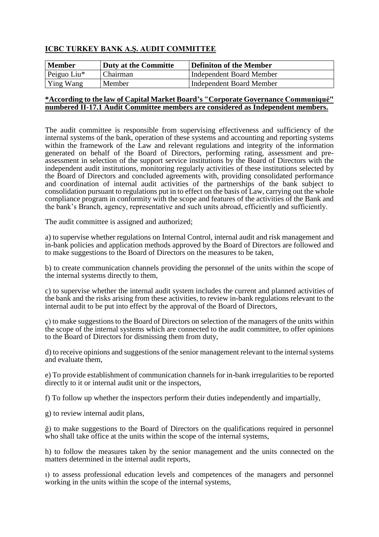## **ICBC TURKEY BANK A.Ş. AUDIT COMMITTEE**

| Member         | Duty at the Committe | Definiton of the Member  |
|----------------|----------------------|--------------------------|
| Peiguo Liu $*$ | Chairman             | Independent Board Member |
| Ying Wang      | Member               | Independent Board Member |

## **\*According to the law of Capital Market Board's "Corporate Governance Communiqué" numbered II-17.1 Audit Committee members are considered as Independent members.**

The audit committee is responsible from supervising effectiveness and sufficiency of the internal systems of the bank, operation of these systems and accounting and reporting systems within the framework of the Law and relevant regulations and integrity of the information generated on behalf of the Board of Directors, performing rating, assessment and preassessment in selection of the support service institutions by the Board of Directors with the independent audit institutions, monitoring regularly activities of these institutions selected by the Board of Directors and concluded agreements with, providing consolidated performance and coordination of internal audit activities of the partnerships of the bank subject to consolidation pursuant to regulations put in to effect on the basis of Law, carrying out the whole compliance program in conformity with the scope and features of the activities of the Bank and the bank's Branch, agency, representative and such units abroad, efficiently and sufficiently.

The audit committee is assigned and authorized;

a) to supervise whether regulations on Internal Control, internal audit and risk management and in-bank policies and application methods approved by the Board of Directors are followed and to make suggestions to the Board of Directors on the measures to be taken,

b) to create communication channels providing the personnel of the units within the scope of the internal systems directly to them,

c) to supervise whether the internal audit system includes the current and planned activities of the bank and the risks arising from these activities, to review in-bank regulations relevant to the internal audit to be put into effect by the approval of the Board of Directors,

ç) to make suggestions to the Board of Directors on selection of the managers of the units within the scope of the internal systems which are connected to the audit committee, to offer opinions to the Board of Directors for dismissing them from duty,

d) to receive opinions and suggestions of the senior management relevant to the internal systems and evaluate them,

e) To provide establishment of communication channels for in-bank irregularities to be reported directly to it or internal audit unit or the inspectors,

f) To follow up whether the inspectors perform their duties independently and impartially,

g) to review internal audit plans,

ğ) to make suggestions to the Board of Directors on the qualifications required in personnel who shall take office at the units within the scope of the internal systems,

h) to follow the measures taken by the senior management and the units connected on the matters determined in the internal audit reports,

ı) to assess professional education levels and competences of the managers and personnel working in the units within the scope of the internal systems,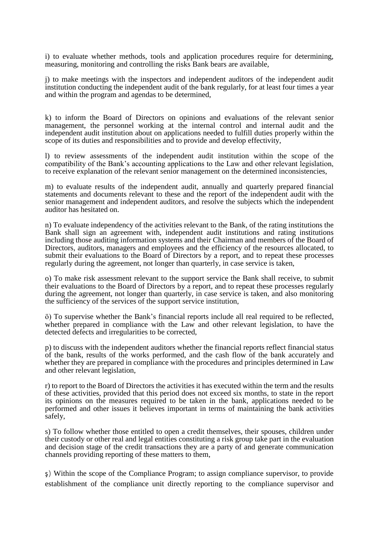i) to evaluate whether methods, tools and application procedures require for determining, measuring, monitoring and controlling the risks Bank bears are available,

j) to make meetings with the inspectors and independent auditors of the independent audit institution conducting the independent audit of the bank regularly, for at least four times a year and within the program and agendas to be determined,

k) to inform the Board of Directors on opinions and evaluations of the relevant senior management, the personnel working at the internal control and internal audit and the independent audit institution about on applications needed to fulfill duties properly within the scope of its duties and responsibilities and to provide and develop effectivity,

l) to review assessments of the independent audit institution within the scope of the compatibility of the Bank's accounting applications to the Law and other relevant legislation, to receive explanation of the relevant senior management on the determined inconsistencies,

m) to evaluate results of the independent audit, annually and quarterly prepared financial statements and documents relevant to these and the report of the independent audit with the senior management and independent auditors, and resolve the subjects which the independent auditor has hesitated on.

n) To evaluate independency of the activities relevant to the Bank, of the rating institutions the Bank shall sign an agreement with, independent audit institutions and rating institutions including those auditing information systems and their Chairman and members of the Board of Directors, auditors, managers and employees and the efficiency of the resources allocated, to submit their evaluations to the Board of Directors by a report, and to repeat these processes regularly during the agreement, not longer than quarterly, in case service is taken,

o) To make risk assessment relevant to the support service the Bank shall receive, to submit their evaluations to the Board of Directors by a report, and to repeat these processes regularly during the agreement, not longer than quarterly, in case service is taken, and also monitoring the sufficiency of the services of the support service institution,

ö) To supervise whether the Bank's financial reports include all real required to be reflected, whether prepared in compliance with the Law and other relevant legislation, to have the detected defects and irregularities to be corrected,

p) to discuss with the independent auditors whether the financial reports reflect financial status of the bank, results of the works performed, and the cash flow of the bank accurately and whether they are prepared in compliance with the procedures and principles determined in Law and other relevant legislation,

r) to report to the Board of Directors the activities it has executed within the term and the results of these activities, provided that this period does not exceed six months, to state in the report its opinions on the measures required to be taken in the bank, applications needed to be performed and other issues it believes important in terms of maintaining the bank activities safely,

s) To follow whether those entitled to open a credit themselves, their spouses, children under their custody or other real and legal entities constituting a risk group take part in the evaluation and decision stage of the credit transactions they are a party of and generate communication channels providing reporting of these matters to them,

ş) Within the scope of the Compliance Program; to assign compliance supervisor, to provide establishment of the compliance unit directly reporting to the compliance supervisor and